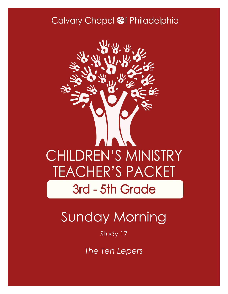### Calvary Chapel @f Philadelphia



# Sunday Morning

#### Study 17

*The Ten Lepers*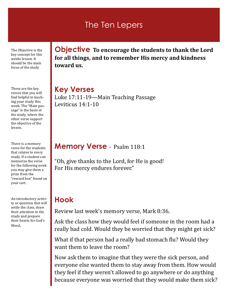### The Ten Lepers

The Objective is the key concept for this weeks lesson. It should be the main focus of the study

These are the key verses that you will find helpful in teaching your study this week. The "Main passage" is the basis of the study, where the other verse support the objective of the lesson.

There is a memory verse for the students that relates to every study. If a student can memorize the verse for the following week you may give them a prize from the "reward box" found on your cart.

An introductory activity or question that will settle the class, draw their attention to the study and prepare their hearts for God's Word.

**Objective To encourage the students to thank the Lord for all things, and to remember His mercy and kindness toward us.**

**Key Verses** Luke 17:11-19—Main Teaching Passage Leviticus 14:1-10

#### **Memory Verse** - Psalm 118:1

"Oh, give thanks to the Lord, for He is good! For His mercy endures forever."

### **Hook**

Review last week's memory verse, Mark 8:36.

Ask the class how they would feel if someone in the room had a really bad cold. Would they be worried that they might get sick?

What if that person had a really bad stomach flu? Would they want them to leave the room?

Now ask them to imagine that they were the sick person, and everyone else wanted them to stay away from them. How would they feel if they weren't allowed to go anywhere or do anything because everyone was worried that they would make them sick?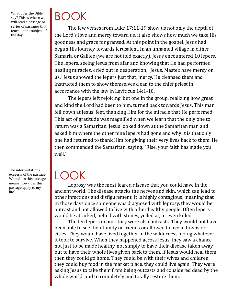What does the Bible say? This is where we will read a passage or series of passages that teach on the subject of the day.

The interpretation/ exegesis of the passage. What does this passage mean? How does this passage apply to my life?

# BOOK

The few verses from Luke 17:11-19 show us not only the depth of the Lord's love and mercy toward us, it also shows how much we take His goodness and grace for granted. At this point in the gospel, Jesus had begun His journey towards Jerusalem. In an unnamed village in either Samaria or Galilee (we are not told exactly), Jesus encountered 10 lepers. The lepers, seeing Jesus from afar and knowing that He had performed healing miracles, cried out in desperation, "Jesus, Master, have mercy on us." Jesus showed the lepers just that, mercy. He cleansed them and instructed them to show themselves clean to the chief priest in accordance with the law in Leviticus 14:1-10.

The lepers left rejoicing, but one in the group, realizing how great and kind the Lord had been to him, turned back towards Jesus. This man fell down at Jesus' feet, thanking Him for the miracle that He performed. This act of gratitude was magnified when we learn that the only one to return was a Samaritan. Jesus looked down at the Samaritan man and asked him where the other nine lepers had gone and why it is that only one had returned to thank Him for giving their very lives back to them. He then commended the Samaritan, saying, "Rise, your faith has made you well."

# LOOK

Leprosy was the most feared disease that you could have in the ancient world. The disease attacks the nerves and skin, which can lead to other infections and disfigurement. It is highly contagious, meaning that in those days once someone was diagnosed with leprosy, they would be outcast and not allowed to live with other healthy people. Often lepers would be attacked, pelted with stones, yelled at, or even killed.

The ten lepers in our story were also outcasts. They would not have been able to see their family or friends or allowed to live in towns or cities. They would have lived together in the wilderness, doing whatever it took to survive. When they happened across Jesus, they saw a chance not just to be made healthy, not simply to have their disease taken away, but to have their whole lives given back to them. If Jesus would heal them, then they could go home. They could be with their wives and children, they could buy food in the market place, they could live again. They were asking Jesus to take them from being outcasts and considered dead by the whole world, and to completely and totally restore them.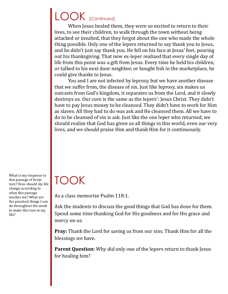## LOOK (Continued)

When Jesus healed them, they were so excited to return to their lives, to see their children, to walk through the town without being attacked or insulted, that they forgot about the one who made the whole thing possible. Only one of the lepers returned to say thank you to Jesus, and he didn't just say thank you. He fell on his face at Jesus' feet, pouring out his thanksgiving. That now ex-leper realized that every single day of life from this point was a gift from Jesus. Every time he held his children, or talked to his next door neighbor, or bought fish in the marketplace, he could give thanks to Jesus.

You and I are not infected by leprosy, but we have another disease that we suffer from, the disease of sin. Just like leprosy, sin makes us outcasts from God's kingdom, it separates us from the Lord, and it slowly destroys us. Our cure is the same as the lepers': Jesus Christ. They didn't have to pay Jesus money to be cleansed. They didn't have to work for Him as slaves. All they had to do was ask and He cleansed them. All we have to do to be cleansed of sin is ask. Just like the one leper who returned, we should realize that God has given us all things in this world, even our very lives, and we should praise Him and thank Him for it continuously.

What is my response to this passage of Scripture? How should my life change according to what this passage teaches me? What are the practical things I can do throughout the week to make this true in my life?

### TOOK

As a class memorize Psalm 118:1.

Ask the students to discuss the good things that God has done for them. Spend some time thanking God for His goodness and for His grace and mercy on us.

**Pray:** Thank the Lord for saving us from our sins. Thank Him for all the blessings we have.

**Parent Question:** Why did only one of the lepers return to thank Jesus for healing him?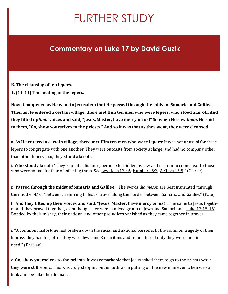# FURTHER STUDY

### **Commentary on Luke 17 by David Guzik**

**B. The cleansing of ten lepers.**

**1. (11-14) The healing of the lepers.**

**Now it happened as He went to Jerusalem that He passed through the midst of Samaria and Galilee. Then as He entered a certain village, there met Him ten men who were lepers, who stood afar off. And they lifted up***their* **voices and said, "Jesus, Master, have mercy on us!" So when He saw** *them,* **He said to them, "Go, show yourselves to the priests." And so it was that as they went, they were cleansed.**

a. **As He entered a certain village, there met Him ten men who were lepers**: It was not unusual for these lepers to congregate with one another. They were outcasts from society at large, and had no company other than other lepers – so, they **stood afar off**.

i. **Who stood afar off**: "They kept at a distance, because forbidden by law and custom to come near to those who were sound, for fear of infecting them. See [Leviticus 13:46;](http://biblia.com/bible/nkjv/Lev%2013.46) [Numbers 5:2;](http://biblia.com/bible/nkjv/Num%205.2) [2 Kings 15:5.](http://biblia.com/bible/nkjv/2%20Kings%2015.5)" (Clarke)

ii. **Passed through the midst of Samaria and Galilee**: "The words *dia meson* are best translated 'through the middle of,' or 'between,' referring to Jesus' travel along the border between Samaria and Galilee." (Pate)

b. **And they lifted up their voices and said, "Jesus, Master, have mercy on us!"**: The came to Jesus together and they prayed together, even though they were a mixed group of Jews and Samaritans ([Luke 17:15](http://biblia.com/bible/nkjv/Luke%2017.15-16)-16). Bonded by their misery, their national and other prejudices vanished as they came together in prayer.

i. "A common misfortune had broken down the racial and national barriers. In the common tragedy of their leprosy they had forgotten they were Jews and Samaritans and remembered only they were men in need." (Barclay)

c. **Go, show yourselves to the priests**: It was remarkable that Jesus asked them to go to the priests while they were still lepers. This was truly stepping out in faith, as in putting on the new man even when we still look and feel like the old man.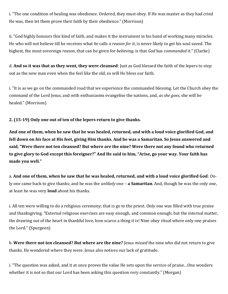i. "The one condition of healing was obedience. Ordered, they must obey. If He was master as they had cried He was, then let them prove their faith by their obedience." (Morrison)

ii. "God highly honours this kind of faith, and makes it the instrument in his hand of working many miracles. He who will not believe till he receives what *he* calls *a reason for it*, is never likely to get his soul saved. The highest, the most sovereign *reason*, that can be given for *believing*, is that *God* has *commanded* it." (Clarke)

d. **And so it was that as they went, they were cleansed**: Just as God blessed the faith of the lepers to step out as the new man even when the feel like the old, so will He bless our faith.

i. "It is as we go on the commanded road that we experience the commanded blessing. Let the Church obey the command of the Lord Jesus, and with enthusiasms evangelise the nations, and, *as she goes*, she will be healed." (Morrison)

**2. (15-19) Only one out of ten of the lepers return to give thanks.**

**And one of them, when he saw that he was healed, returned, and with a loud voice glorified God, and fell down on** *his* **face at His feet, giving Him thanks. And he was a Samaritan. So Jesus answered and said, "Were there not ten cleansed? But where** *are* **the nine? Were there not any found who returned to give glory to God except this foreigner?" And He said to him, "Arise, go your way. Your faith has made you well."**

a. **And one of them, when he saw that he was healed, returned, and with a loud voice glorified God**: Only one came back to give thanks; and he was the *unlikely* one – **a Samaritan**. And, though he was the only one, at least he was very **loud** about his thanks.

i. All ten were willing to do a religious ceremony; that is go to the priest. Only one was filled with true praise and thanksgiving. "External religious exercises are easy enough, and common enough; but the internal matter, the drawing out of the heart in thankful love, how scarce a thing it is! Nine obey ritual where only one praises the Lord." (Spurgeon)

b. **Were there not ten cleansed? But where are the nine?** Jesus *missed* the nine who did not return to give thanks. He wondered where they were. Jesus also notices our lack of gratitude.

i. "The question was asked, and it at once proves the value He sets upon the service of praise…One wonders whether it is not so that our Lord has been asking this question very constantly." (Morgan)